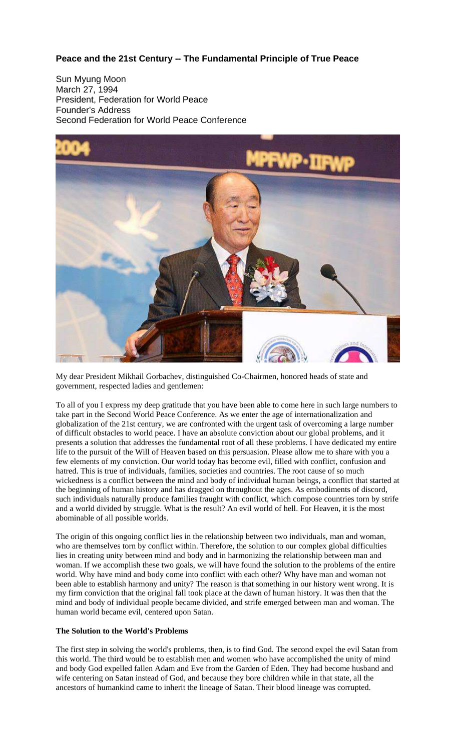# **Peace and the 21st Century -- The Fundamental Principle of True Peace**

Sun Myung Moon March 27, 1994 President, Federation for World Peace Founder's Address Second Federation for World Peace Conference



My dear President Mikhail Gorbachev, distinguished Co-Chairmen, honored heads of state and government, respected ladies and gentlemen:

To all of you I express my deep gratitude that you have been able to come here in such large numbers to take part in the Second World Peace Conference. As we enter the age of internationalization and globalization of the 21st century, we are confronted with the urgent task of overcoming a large number of difficult obstacles to world peace. I have an absolute conviction about our global problems, and it presents a solution that addresses the fundamental root of all these problems. I have dedicated my entire life to the pursuit of the Will of Heaven based on this persuasion. Please allow me to share with you a few elements of my conviction. Our world today has become evil, filled with conflict, confusion and hatred. This is true of individuals, families, societies and countries. The root cause of so much wickedness is a conflict between the mind and body of individual human beings, a conflict that started at the beginning of human history and has dragged on throughout the ages. As embodiments of discord, such individuals naturally produce families fraught with conflict, which compose countries torn by strife and a world divided by struggle. What is the result? An evil world of hell. For Heaven, it is the most abominable of all possible worlds.

The origin of this ongoing conflict lies in the relationship between two individuals, man and woman, who are themselves torn by conflict within. Therefore, the solution to our complex global difficulties lies in creating unity between mind and body and in harmonizing the relationship between man and woman. If we accomplish these two goals, we will have found the solution to the problems of the entire world. Why have mind and body come into conflict with each other? Why have man and woman not been able to establish harmony and unity? The reason is that something in our history went wrong. It is my firm conviction that the original fall took place at the dawn of human history. It was then that the mind and body of individual people became divided, and strife emerged between man and woman. The human world became evil, centered upon Satan.

## **The Solution to the World's Problems**

The first step in solving the world's problems, then, is to find God. The second expel the evil Satan from this world. The third would be to establish men and women who have accomplished the unity of mind and body God expelled fallen Adam and Eve from the Garden of Eden. They had become husband and wife centering on Satan instead of God, and because they bore children while in that state, all the ancestors of humankind came to inherit the lineage of Satan. Their blood lineage was corrupted.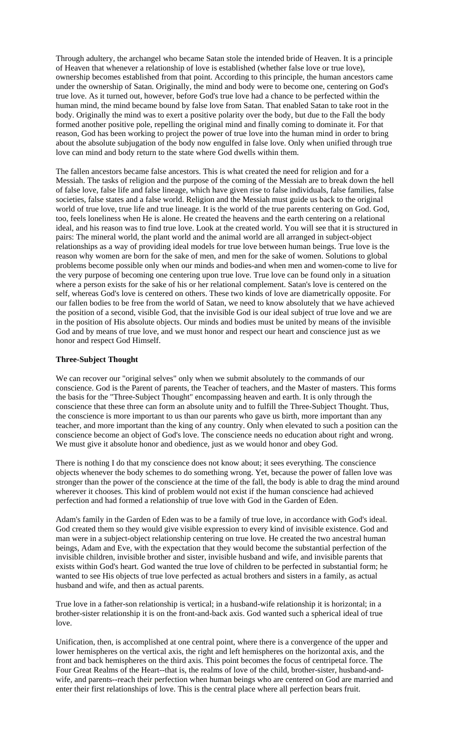Through adultery, the archangel who became Satan stole the intended bride of Heaven. It is a principle of Heaven that whenever a relationship of love is established (whether false love or true love), ownership becomes established from that point. According to this principle, the human ancestors came under the ownership of Satan. Originally, the mind and body were to become one, centering on God's true love. As it turned out, however, before God's true love had a chance to be perfected within the human mind, the mind became bound by false love from Satan. That enabled Satan to take root in the body. Originally the mind was to exert a positive polarity over the body, but due to the Fall the body formed another positive pole, repelling the original mind and finally coming to dominate it. For that reason, God has been working to project the power of true love into the human mind in order to bring about the absolute subjugation of the body now engulfed in false love. Only when unified through true love can mind and body return to the state where God dwells within them.

The fallen ancestors became false ancestors. This is what created the need for religion and for a Messiah. The tasks of religion and the purpose of the coming of the Messiah are to break down the hell of false love, false life and false lineage, which have given rise to false individuals, false families, false societies, false states and a false world. Religion and the Messiah must guide us back to the original world of true love, true life and true lineage. It is the world of the true parents centering on God. God, too, feels loneliness when He is alone. He created the heavens and the earth centering on a relational ideal, and his reason was to find true love. Look at the created world. You will see that it is structured in pairs: The mineral world, the plant world and the animal world are all arranged in subject-object relationships as a way of providing ideal models for true love between human beings. True love is the reason why women are born for the sake of men, and men for the sake of women. Solutions to global problems become possible only when our minds and bodies-and when men and women-come to live for the very purpose of becoming one centering upon true love. True love can be found only in a situation where a person exists for the sake of his or her relational complement. Satan's love is centered on the self, whereas God's love is centered on others. These two kinds of love are diametrically opposite. For our fallen bodies to be free from the world of Satan, we need to know absolutely that we have achieved the position of a second, visible God, that the invisible God is our ideal subject of true love and we are in the position of His absolute objects. Our minds and bodies must be united by means of the invisible God and by means of true love, and we must honor and respect our heart and conscience just as we honor and respect God Himself.

## **Three-Subject Thought**

We can recover our "original selves" only when we submit absolutely to the commands of our conscience. God is the Parent of parents, the Teacher of teachers, and the Master of masters. This forms the basis for the "Three-Subject Thought" encompassing heaven and earth. It is only through the conscience that these three can form an absolute unity and to fulfill the Three-Subject Thought. Thus, the conscience is more important to us than our parents who gave us birth, more important than any teacher, and more important than the king of any country. Only when elevated to such a position can the conscience become an object of God's love. The conscience needs no education about right and wrong. We must give it absolute honor and obedience, just as we would honor and obey God.

There is nothing I do that my conscience does not know about; it sees everything. The conscience objects whenever the body schemes to do something wrong. Yet, because the power of fallen love was stronger than the power of the conscience at the time of the fall, the body is able to drag the mind around wherever it chooses. This kind of problem would not exist if the human conscience had achieved perfection and had formed a relationship of true love with God in the Garden of Eden.

Adam's family in the Garden of Eden was to be a family of true love, in accordance with God's ideal. God created them so they would give visible expression to every kind of invisible existence. God and man were in a subject-object relationship centering on true love. He created the two ancestral human beings, Adam and Eve, with the expectation that they would become the substantial perfection of the invisible children, invisible brother and sister, invisible husband and wife, and invisible parents that exists within God's heart. God wanted the true love of children to be perfected in substantial form; he wanted to see His objects of true love perfected as actual brothers and sisters in a family, as actual husband and wife, and then as actual parents.

True love in a father-son relationship is vertical; in a husband-wife relationship it is horizontal; in a brother-sister relationship it is on the front-and-back axis. God wanted such a spherical ideal of true love.

Unification, then, is accomplished at one central point, where there is a convergence of the upper and lower hemispheres on the vertical axis, the right and left hemispheres on the horizontal axis, and the front and back hemispheres on the third axis. This point becomes the focus of centripetal force. The Four Great Realms of the Heart--that is, the realms of love of the child, brother-sister, husband-andwife, and parents--reach their perfection when human beings who are centered on God are married and enter their first relationships of love. This is the central place where all perfection bears fruit.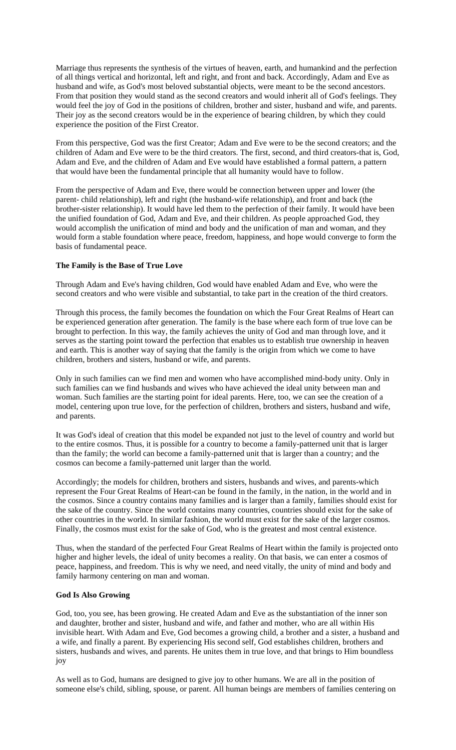Marriage thus represents the synthesis of the virtues of heaven, earth, and humankind and the perfection of all things vertical and horizontal, left and right, and front and back. Accordingly, Adam and Eve as husband and wife, as God's most beloved substantial objects, were meant to be the second ancestors. From that position they would stand as the second creators and would inherit all of God's feelings. They would feel the joy of God in the positions of children, brother and sister, husband and wife, and parents. Their joy as the second creators would be in the experience of bearing children, by which they could experience the position of the First Creator.

From this perspective, God was the first Creator; Adam and Eve were to be the second creators; and the children of Adam and Eve were to be the third creators. The first, second, and third creators-that is, God, Adam and Eve, and the children of Adam and Eve would have established a formal pattern, a pattern that would have been the fundamental principle that all humanity would have to follow.

From the perspective of Adam and Eve, there would be connection between upper and lower (the parent- child relationship), left and right (the husband-wife relationship), and front and back (the brother-sister relationship). It would have led them to the perfection of their family. It would have been the unified foundation of God, Adam and Eve, and their children. As people approached God, they would accomplish the unification of mind and body and the unification of man and woman, and they would form a stable foundation where peace, freedom, happiness, and hope would converge to form the basis of fundamental peace.

### **The Family is the Base of True Love**

Through Adam and Eve's having children, God would have enabled Adam and Eve, who were the second creators and who were visible and substantial, to take part in the creation of the third creators.

Through this process, the family becomes the foundation on which the Four Great Realms of Heart can be experienced generation after generation. The family is the base where each form of true love can be brought to perfection. In this way, the family achieves the unity of God and man through love, and it serves as the starting point toward the perfection that enables us to establish true ownership in heaven and earth. This is another way of saying that the family is the origin from which we come to have children, brothers and sisters, husband or wife, and parents.

Only in such families can we find men and women who have accomplished mind-body unity. Only in such families can we find husbands and wives who have achieved the ideal unity between man and woman. Such families are the starting point for ideal parents. Here, too, we can see the creation of a model, centering upon true love, for the perfection of children, brothers and sisters, husband and wife, and parents.

It was God's ideal of creation that this model be expanded not just to the level of country and world but to the entire cosmos. Thus, it is possible for a country to become a family-patterned unit that is larger than the family; the world can become a family-patterned unit that is larger than a country; and the cosmos can become a family-patterned unit larger than the world.

Accordingly; the models for children, brothers and sisters, husbands and wives, and parents-which represent the Four Great Realms of Heart-can be found in the family, in the nation, in the world and in the cosmos. Since a country contains many families and is larger than a family, families should exist for the sake of the country. Since the world contains many countries, countries should exist for the sake of other countries in the world. In similar fashion, the world must exist for the sake of the larger cosmos. Finally, the cosmos must exist for the sake of God, who is the greatest and most central existence.

Thus, when the standard of the perfected Four Great Realms of Heart within the family is projected onto higher and higher levels, the ideal of unity becomes a reality. On that basis, we can enter a cosmos of peace, happiness, and freedom. This is why we need, and need vitally, the unity of mind and body and family harmony centering on man and woman.

## **God Is Also Growing**

God, too, you see, has been growing. He created Adam and Eve as the substantiation of the inner son and daughter, brother and sister, husband and wife, and father and mother, who are all within His invisible heart. With Adam and Eve, God becomes a growing child, a brother and a sister, a husband and a wife, and finally a parent. By experiencing His second self, God establishes children, brothers and sisters, husbands and wives, and parents. He unites them in true love, and that brings to Him boundless joy

As well as to God, humans are designed to give joy to other humans. We are all in the position of someone else's child, sibling, spouse, or parent. All human beings are members of families centering on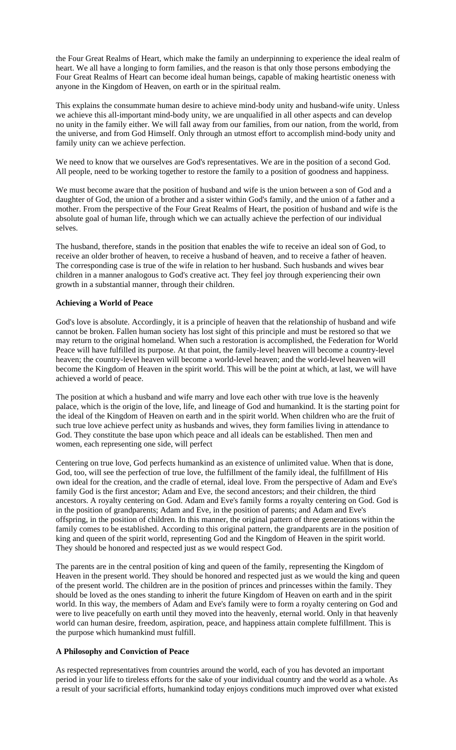the Four Great Realms of Heart, which make the family an underpinning to experience the ideal realm of heart. We all have a longing to form families, and the reason is that only those persons embodying the Four Great Realms of Heart can become ideal human beings, capable of making heartistic oneness with anyone in the Kingdom of Heaven, on earth or in the spiritual realm.

This explains the consummate human desire to achieve mind-body unity and husband-wife unity. Unless we achieve this all-important mind-body unity, we are unqualified in all other aspects and can develop no unity in the family either. We will fall away from our families, from our nation, from the world, from the universe, and from God Himself. Only through an utmost effort to accomplish mind-body unity and family unity can we achieve perfection.

We need to know that we ourselves are God's representatives. We are in the position of a second God. All people, need to be working together to restore the family to a position of goodness and happiness.

We must become aware that the position of husband and wife is the union between a son of God and a daughter of God, the union of a brother and a sister within God's family, and the union of a father and a mother. From the perspective of the Four Great Realms of Heart, the position of husband and wife is the absolute goal of human life, through which we can actually achieve the perfection of our individual selves.

The husband, therefore, stands in the position that enables the wife to receive an ideal son of God, to receive an older brother of heaven, to receive a husband of heaven, and to receive a father of heaven. The corresponding case is true of the wife in relation to her husband. Such husbands and wives bear children in a manner analogous to God's creative act. They feel joy through experiencing their own growth in a substantial manner, through their children.

## **Achieving a World of Peace**

God's love is absolute. Accordingly, it is a principle of heaven that the relationship of husband and wife cannot be broken. Fallen human society has lost sight of this principle and must be restored so that we may return to the original homeland. When such a restoration is accomplished, the Federation for World Peace will have fulfilled its purpose. At that point, the family-level heaven will become a country-level heaven; the country-level heaven will become a world-level heaven; and the world-level heaven will become the Kingdom of Heaven in the spirit world. This will be the point at which, at last, we will have achieved a world of peace.

The position at which a husband and wife marry and love each other with true love is the heavenly palace, which is the origin of the love, life, and lineage of God and humankind. It is the starting point for the ideal of the Kingdom of Heaven on earth and in the spirit world. When children who are the fruit of such true love achieve perfect unity as husbands and wives, they form families living in attendance to God. They constitute the base upon which peace and all ideals can be established. Then men and women, each representing one side, will perfect

Centering on true love, God perfects humankind as an existence of unlimited value. When that is done, God, too, will see the perfection of true love, the fulfillment of the family ideal, the fulfillment of His own ideal for the creation, and the cradle of eternal, ideal love. From the perspective of Adam and Eve's family God is the first ancestor; Adam and Eve, the second ancestors; and their children, the third ancestors. A royalty centering on God. Adam and Eve's family forms a royalty centering on God. God is in the position of grandparents; Adam and Eve, in the position of parents; and Adam and Eve's offspring, in the position of children. In this manner, the original pattern of three generations within the family comes to be established. According to this original pattern, the grandparents are in the position of king and queen of the spirit world, representing God and the Kingdom of Heaven in the spirit world. They should be honored and respected just as we would respect God.

The parents are in the central position of king and queen of the family, representing the Kingdom of Heaven in the present world. They should be honored and respected just as we would the king and queen of the present world. The children are in the position of princes and princesses within the family. They should be loved as the ones standing to inherit the future Kingdom of Heaven on earth and in the spirit world. In this way, the members of Adam and Eve's family were to form a royalty centering on God and were to live peacefully on earth until they moved into the heavenly, eternal world. Only in that heavenly world can human desire, freedom, aspiration, peace, and happiness attain complete fulfillment. This is the purpose which humankind must fulfill.

#### **A Philosophy and Conviction of Peace**

As respected representatives from countries around the world, each of you has devoted an important period in your life to tireless efforts for the sake of your individual country and the world as a whole. As a result of your sacrificial efforts, humankind today enjoys conditions much improved over what existed